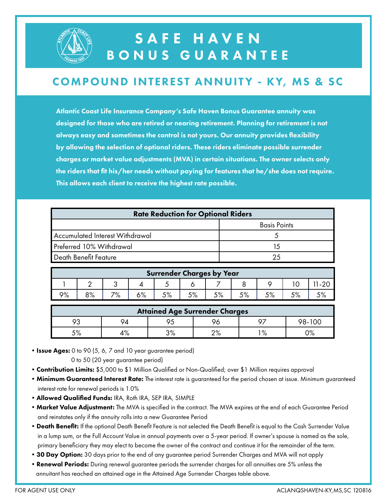

### SAFE HAVEN BONUS GUARANTEE

#### **COMPOUND INTEREST ANNUITY - KY, MS & SC**

Atlantic Coast Life Insurance Company's Safe Haven Bonus Guarantee annuity was designed for those who are retired or nearing retirement. Planning for retirement is not always easy and sometimes the control is not yours. Our annuity provides flexibility by allowing the selection of optional riders. These riders eliminate possible surrender charges or market value adjustments (MVA) in certain situations. The owner selects only the riders that fit his/her needs without paying for features that he/she does not require. This allows each client to receive the highest rate possible.

| <b>Rate Reduction for Optional Riders</b> |                     |  |  |  |  |
|-------------------------------------------|---------------------|--|--|--|--|
|                                           | <b>Basis Points</b> |  |  |  |  |
| Accumulated Interest Withdrawal           |                     |  |  |  |  |
| Preferred 10% Withdrawal                  |                     |  |  |  |  |
| Death Benefit Feature                     | 25                  |  |  |  |  |
|                                           |                     |  |  |  |  |

| <b>Surrender Charges by Year</b> |    |                   |            |    |                   |      |      |                  |  |  |
|----------------------------------|----|-------------------|------------|----|-------------------|------|------|------------------|--|--|
|                                  |    | w                 |            |    |                   |      |      |                  |  |  |
| 9%                               | 8% | 70,<br>$\sqrt{2}$ | ره ۽<br>70 | 5% | 50/<br>$\sqrt{2}$ | r o/ | F O/ | 50/<br>$\cup$ /o |  |  |

| <b>Attained Age Surrender Charges</b> |                   |              |             |      |        |  |  |
|---------------------------------------|-------------------|--------------|-------------|------|--------|--|--|
| ດຈ                                    |                   |              |             | 07   | 98-100 |  |  |
| 50/<br>ہ/ ب                           | ە 4<br>$\sqrt{2}$ | /ס ר<br>ס/ ו | ∩0∕<br>ە/ 2 | ره ۱ | ∩∘∕    |  |  |

• Issue Ages: 0 to 90 (5, 6, 7 and 10 year guarantee period)

0 to 50 (20 year guarantee period)

- Contribution Limits: \$5,000 to \$1 Million Qualified or Non-Qualified; over \$1 Million requires approval
- Minimum Guaranteed Interest Rate: The interest rate is guaranteed for the period chosen at issue. Minimum guaranteed interest rate for renewal periods is 1.0%
- •Allowed Qualified Funds: IRA, Roth IRA, SEP IRA, SIMPLE
- Market Value Adjustment: The MVA is specified in the contract. The MVA expires at the end of each Guarantee Period and reinstates only if the annuity rolls into a new Guarantee Period
- Death Benefit: If the optional Death Benefit Feature is not selected the Death Benefit is equal to the Cash Surrender Value in a lump sum, or the Full Account Value in annual payments over a 5-year period. If owner's spouse is named as the sole, primary beneficiary they may elect to become the owner of the contract and continue it for the remainder of the term.
- 30 Day Option: 30 days prior to the end of any guarantee period Surrender Charges and MVA will not apply
- Renewal Periods: During renewal guarantee periods the surrender charges for all annuities are 5% unless the annuitant has reached an attained age in the Attained Age Surrender Charges table above.